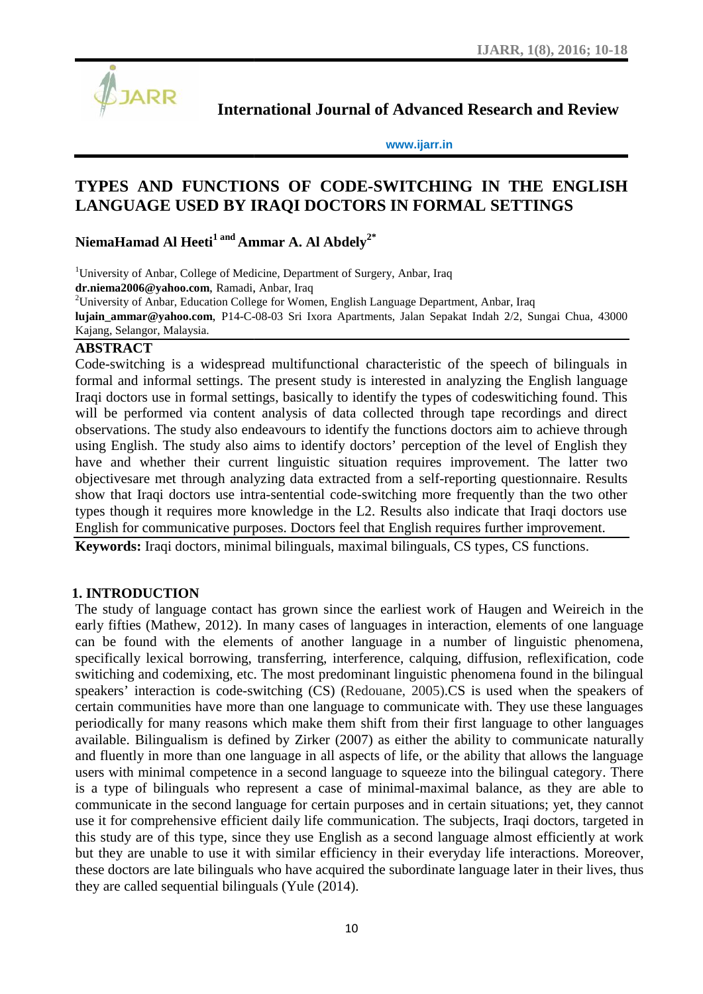

**International Journal of Advanced Research and Review Journal** 

**www.ijarr.in www.ijarr.in**

# **TYPES AND FUNCTIONS OF CODE-SWITCHING IN THE ENGLISH** TYPES AND FUNCTIONS OF CODE-SWITCHING IN THE ENGLISH<br>LANGUAGE USED BY IRAQI DOCTORS IN FORMAL SETTINGS

**NiemaHamad Al Heeti<sup>1</sup> and Ammar A. Al Abdely2\* andAmmar** 

<sup>1</sup>University of Anbar, College of Medicine, Department of Surgery, Anbar, Iraq **dr.niema2006@yahoo.com**, Ramadi, Anbar, Iraq , <sup>2</sup>University of Anbar, Education College for Women, English Language Department, Anbar, Iraq **lujain\_ammar@yahoo.com**, P14-C-08-03 Sri Ixora Apartments, Jalan Sepakat Indah 2/2, Sungai Chua, 43000 Kajang, Selangor, Malaysia.

# **ABSTRACT**

Code-switching is a widespread multifunctional characteristic of the speech of bilinguals in formal and informal settings. The present study is interested in analyzing the English language Iraqi doctors use in formal settings, basically to identify the types of codeswitiching found. This will be performed via content analysis of data collected through tape recordings and direct observations. The study also endeavours to identify the functions doctors aim to achieve through using English. The study also aims to identify doctors' perception of the level of English they have and whether their current linguistic situation requires improvement. The latter two objectivesare met through analyzing data extracted from a self-reporting questionnaire. Results show that Iraqi doctors use intra-sentential code-switching more frequently than the two other types though it requires more knowledge in the L2. Results also indicate that Iraqi doctors use English for communicative purposes. Doctors feel that English requires further improvement. F-switching is a widespread multifunctional characteristic of the speech of bilinguals in<br>al and informal settings. The present study is interested in analyzing the English language<br>doctors use in formal settings, basicall

**Keywords:** Iraqi doctors, minimal bilinguals, maximal bilinguals, CS types, CS functions.

# **1. INTRODUCTION**

The study of language contact has grown since the earliest work of Haugen and Weireich in the early fifties (Mathew, 2012). In many cases of languages in interaction, elements of one language can be found with the elements of another language in a number of linguistic phenomena, specifically lexical borrowing, transferring, interference, calquing, diffusion, reflexification, code switiching and codemixing, etc. The most predominant linguistic phenomena found in the bilingual speakers' interaction is code-switching (CS) (Redouane, 2005).CS is used when the speakers of certain communities have more than one language to communicate with. They use these languages periodically for many reasons which make them shift from their first language to other languages available. Bilingualism is defined by Zirker (2007) as either the ability to communicate naturally and fluently in more than one language in all aspects of life, or the ability that allows the language users with minimal competence in a second language to squeeze into the bilingual category. There is a type of bilinguals who represent a case of minimal-maximal balance, as they are able to communicate in the second language for certain purposes and in certain situations; yet, they cannot use it for comprehensive efficient daily life communication. The subjects, Iraqi doctors, targeted in this study are of this type, since they use English as a second language almost efficiently at work but they are unable to use it with similar efficiency in their everyday life interactions. Moreover, these doctors are late bilinguals who have acquired the subordinate language later in their lives, thus they are called sequential bilinguals (Yule (2014). objectivesare met through analyzing data extracted from a self-reporting questionnaire. Results<br>show that Iraqi doctors use intra-sentential code-switching more frequently than the two other<br>types though it requires more k speakers' interaction is code-switching (CS) (Redouane, 2005).CS is used when the speakers of certain communities have more than one language to communicate with. They use these languages periodically for many reasons whic University of Antonic Colection (Surger Modelins, Department of Surgery, Anbar, Inq<br>
University of Antonic Distribution Colege By Women. English Language Department, Arkst, Inq<br>
University of Antonic Education Colege By Wo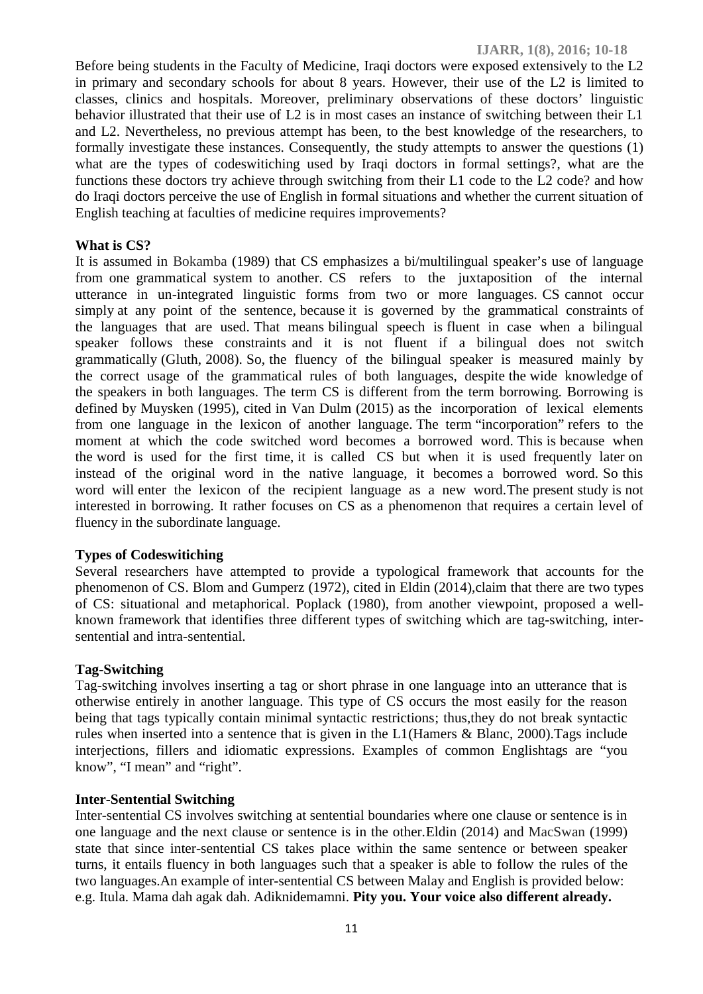Before being students in the Faculty of Medicine, Iraqi doctors were exposed extensively to the L2 in primary and secondary schools for about 8 years. However, their use of the L2 is limited to classes, clinics and hospitals. Moreover, preliminary observations of these doctors' linguistic behavior illustrated that their use of L2 is in most cases an instance of switching between their L1 and L2. Nevertheless, no previous attempt has been, to the best knowledge of the researchers, to formally investigate these instances. Consequently, the study attempts to answer the questions (1) what are the types of codeswitiching used by Iraqi doctors in formal settings?, what are the functions these doctors try achieve through switching from their L1 code to the L2 code? and how do Iraqi doctors perceive the use of English in formal situations and whether the current situation of English teaching at faculties of medicine requires improvements?

#### **What is CS?**

It is assumed in Bokamba (1989) that CS emphasizes a bi/multilingual speaker's use of language from one grammatical system to another. CS refers to the juxtaposition of the internal utterance in un-integrated linguistic forms from two or more languages. CS cannot occur simply at any point of the sentence, because it is governed by the grammatical constraints of the languages that are used. That means bilingual speech is fluent in case when a bilingual speaker follows these constraints and it is not fluent if a bilingual does not switch grammatically (Gluth, 2008). So, the fluency of the bilingual speaker is measured mainly by the correct usage of the grammatical rules of both languages, despite the wide knowledge of the speakers in both languages. The term CS is different from the term borrowing. Borrowing is defined by Muysken (1995), cited in Van Dulm (2015) as the incorporation of lexical elements from one language in the lexicon of another language. The term "incorporation" refers to the moment at which the code switched word becomes a borrowed word. This is because when the word is used for the first time, it is called CS but when it is used frequently later on instead of the original word in the native language, it becomes a borrowed word. So this word will enter the lexicon of the recipient language as a new word.The present study is not interested in borrowing. It rather focuses on CS as a phenomenon that requires a certain level of fluency in the subordinate language.

#### **Types of Codeswitiching**

Several researchers have attempted to provide a typological framework that accounts for the phenomenon of CS. Blom and Gumperz (1972), cited in Eldin (2014),claim that there are two types of CS: situational and metaphorical. Poplack (1980), from another viewpoint, proposed a well known framework that identifies three different types of switching which are tag-switching, inter sentential and intra-sentential.

#### **Tag-Switching**

Tag-switching involves inserting a tag or short phrase in one language into an utterance that is otherwise entirely in another language. This type of CS occurs the most easily for the reason being that tags typically contain minimal syntactic restrictions; thus,they do not break syntactic rules when inserted into a sentence that is given in the L1(Hamers & Blanc, 2000).Tags include interjections, fillers and idiomatic expressions. Examples of common Englishtags are "you know", "I mean" and "right".

#### **Inter-Sentential Switching**

Inter-sentential CS involves switching at sentential boundaries where one clause or sentence is in one language and the next clause or sentence is in the other.Eldin (2014) and MacSwan (1999) state that since inter-sentential CS takes place within the same sentence or between speaker turns, it entails fluency in both languages such that a speaker is able to follow the rules of the two languages.An example of inter-sentential CS between Malay and English is provided below: e.g. Itula. Mama dah agak dah. Adiknidemamni. **Pity you. Your voice also different already.**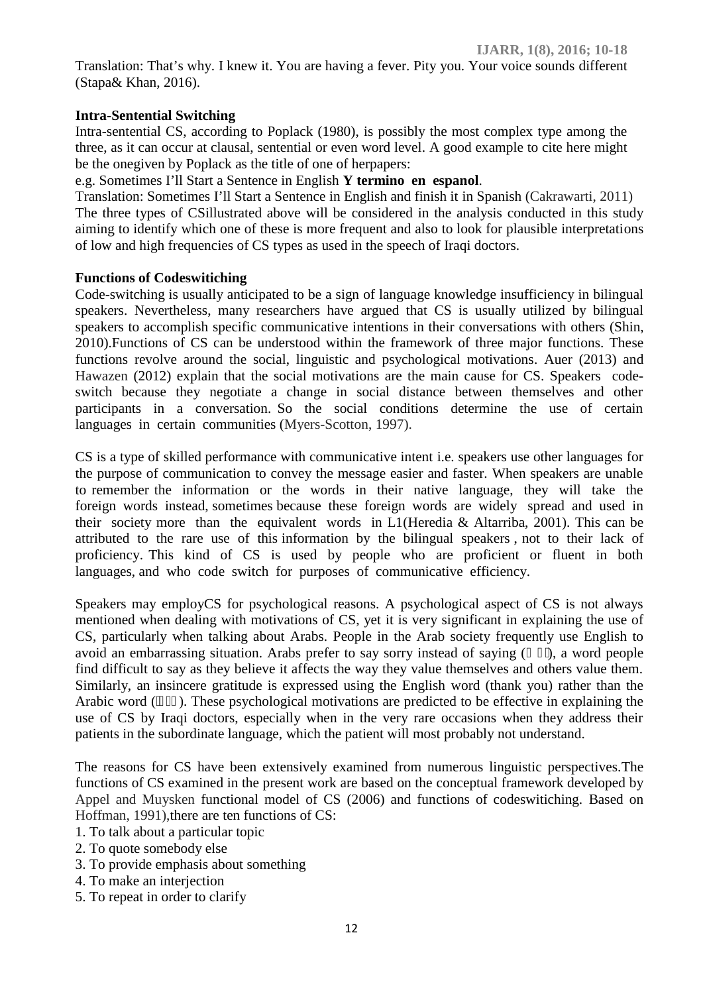Translation: That's why. I knew it. You are having a fever. Pity you. Your voice sounds different (Stapa& Khan, 2016).

# **Intra-Sentential Switching**

Intra-sentential CS, according to Poplack (1980), is possibly the most complex type among the three, as it can occur at clausal, sentential or even word level. A good example to cite here might be the onegiven by Poplack as the title of one of herpapers:

### e.g. Sometimes I'll Start a Sentence in English **Y termino en espanol**.

Translation: Sometimes I'll Start a Sentence in English and finish it in Spanish (Cakrawarti, 2011) The three types of CSillustrated above will be considered in the analysis conducted in this study aiming to identify which one of these is more frequent and also to look for plausible interpretations of low and high frequencies of CS types as used in the speech of Iraqi doctors.

#### **Functions of Codeswitiching**

Code-switching is usually anticipated to be a sign of language knowledge insufficiency in bilingual speakers. Nevertheless, many researchers have argued that CS is usually utilized by bilingual speakers to accomplish specific communicative intentions in their conversations with others (Shin, 2010).Functions of CS can be understood within the framework of three major functions. These functions revolve around the social, linguistic and psychological motivations. Auer (2013) and Hawazen (2012) explain that the social motivations are the main cause for CS. Speakers code switch because they negotiate a change in social distance between themselves and other participants in a conversation. So the social conditions determine the use of certain languages in certain communities (Myers-Scotton, 1997).

CS is a type of skilled performance with communicative intent i.e. speakers use other languages for the purpose of communication to convey the message easier and faster. When speakers are unable to remember the information or the words in their native language, they will take the foreign words instead, sometimes because these foreign words are widely spread and used in their society more than the equivalent words in L1(Heredia & Altarriba, 2001). This can be attributed to the rare use of this information by the bilingual speakers , not to their lack of proficiency. This kind of CS is used by people who are proficient or fluent in both languages, and who code switch for purposes of communicative efficiency.

Speakers may employCS for psychological reasons. A psychological aspect of CS is not always mentioned when dealing with motivations of CS, yet it is very significant in explaining the use of CS, particularly when talking about Arabs. People in the Arab society frequently use English to avoid an embarrassing situation. Arabs prefer to say sorry instead of saying  $($ , a word people find difficult to say as they believe it affects the way they value themselves and others value them. Similarly, an insincere gratitude is expressed using the English word (thank you) rather than the Arabic word  $($ ). These psychological motivations are predicted to be effective in explaining the use of CS by Iraqi doctors, especially when in the very rare occasions when they address their patients in the subordinate language, which the patient will most probably not understand.

The reasons for CS have been extensively examined from numerous linguistic perspectives.The functions of CS examined in the present work are based on the conceptual framework developed by Appel and Muysken functional model of CS (2006) and functions of codeswitiching. Based on Hoffman, 1991),there are ten functions of CS:

- 1. To talk about a particular topic
- 2. To quote somebody else
- 3. To provide emphasis about something
- 4. To make an interjection
- 5. To repeat in order to clarify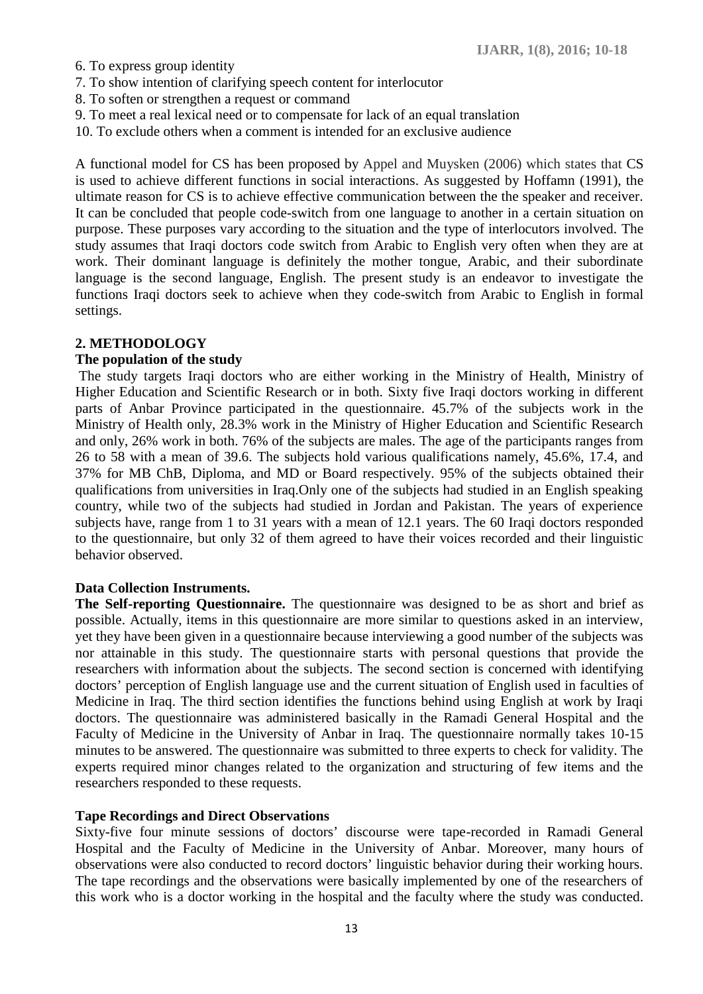- 6. To express group identity
- 7. To show intention of clarifying speech content for interlocutor
- 8. To soften or strengthen a request or command
- 9. To meet a real lexical need or to compensate for lack of an equal translation
- 10. To exclude others when a comment is intended for an exclusive audience

A functional model for CS has been proposed by Appel and Muysken (2006) which states that CS is used to achieve different functions in social interactions. As suggested by Hoffamn (1991), the ultimate reason for CS is to achieve effective communication between the the speaker and receiver. It can be concluded that people code-switch from one language to another in a certain situation on purpose. These purposes vary according to the situation and the type of interlocutors involved. The study assumes that Iraqi doctors code switch from Arabic to English very often when they are at work. Their dominant language is definitely the mother tongue, Arabic, and their subordinate language is the second language, English. The present study is an endeavor to investigate the functions Iraqi doctors seek to achieve when they code-switch from Arabic to English in formal settings.

#### **2. METHODOLOGY**

#### **The population of the study**

The study targets Iraqi doctors who are either working in the Ministry of Health, Ministry of Higher Education and Scientific Research or in both. Sixty five Iraqi doctors working in different parts of Anbar Province participated in the questionnaire. 45.7% of the subjects work in the Ministry of Health only, 28.3% work in the Ministry of Higher Education and Scientific Research and only, 26% work in both. 76% of the subjects are males. The age of the participants ranges from 26 to 58 with a mean of 39.6. The subjects hold various qualifications namely, 45.6%, 17.4, and 37% for MB ChB, Diploma, and MD or Board respectively. 95% of the subjects obtained their qualifications from universities in Iraq.Only one of the subjects had studied in an English speaking country, while two of the subjects had studied in Jordan and Pakistan. The years of experience subjects have, range from 1 to 31 years with a mean of 12.1 years. The 60 Iraqi doctors responded to the questionnaire, but only 32 of them agreed to have their voices recorded and their linguistic behavior observed.

#### **Data Collection Instruments.**

**The Self-reporting Questionnaire.** The questionnaire was designed to be as short and brief as possible. Actually, items in this questionnaire are more similar to questions asked in an interview, yet they have been given in a questionnaire because interviewing a good number of the subjects was nor attainable in this study. The questionnaire starts with personal questions that provide the researchers with information about the subjects. The second section is concerned with identifying doctors' perception of English language use and the current situation of English used in faculties of Medicine in Iraq. The third section identifies the functions behind using English at work by Iraqi doctors. The questionnaire was administered basically in the Ramadi General Hospital and the Faculty of Medicine in the University of Anbar in Iraq. The questionnaire normally takes 10-15 minutes to be answered. The questionnaire was submitted to three experts to check for validity. The experts required minor changes related to the organization and structuring of few items and the researchers responded to these requests.

#### **Tape Recordings and Direct Observations**

Sixty-five four minute sessions of doctors' discourse were tape-recorded in Ramadi General Hospital and the Faculty of Medicine in the University of Anbar. Moreover, many hours of observations were also conducted to record doctors' linguistic behavior during their working hours. The tape recordings and the observations were basically implemented by one of the researchers of this work who is a doctor working in the hospital and the faculty where the study was conducted.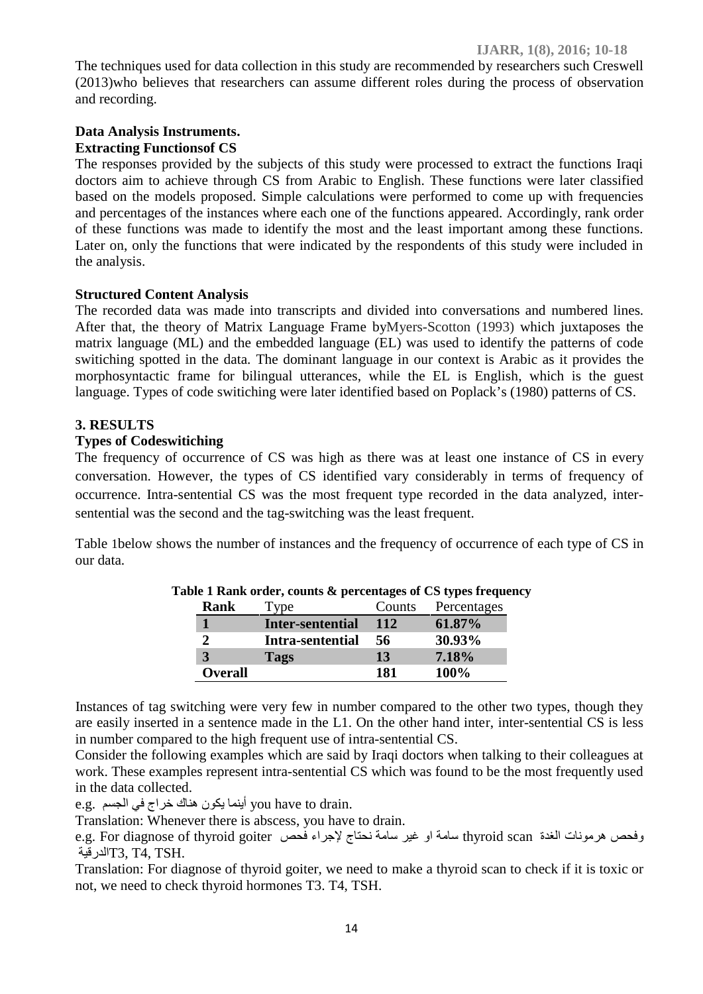The techniques used for data collection in this study are recommended by researchers such Creswell (2013)who believes that researchers can assume different roles during the process of observation and recording.

# **Data Analysis Instruments. Extracting Functionsof CS**

The responses provided by the subjects of this study were processed to extract the functions Iraqi doctors aim to achieve through CS from Arabic to English. These functions were later classified based on the models proposed. Simple calculations were performed to come up with frequencies and percentages of the instances where each one of the functions appeared. Accordingly, rank order of these functions was made to identify the most and the least important among these functions. Later on, only the functions that were indicated by the respondents of this study were included in the analysis.

# **Structured Content Analysis**

The recorded data was made into transcripts and divided into conversations and numbered lines. After that, the theory of Matrix Language Frame byMyers-Scotton (1993) which juxtaposes the matrix language (ML) and the embedded language (EL) was used to identify the patterns of code switiching spotted in the data. The dominant language in our context is Arabic as it provides the morphosyntactic frame for bilingual utterances, while the EL is English, which is the guest language. Types of code switiching were later identified based on Poplack's (1980) patterns of CS.

# **3. RESULTS**

# **Types of Codeswitiching**

The frequency of occurrence of CS was high as there was at least one instance of CS in every conversation. However, the types of CS identified vary considerably in terms of frequency of occurrence. Intra-sentential CS was the most frequent type recorded in the data analyzed, inter sentential was the second and the tag-switching was the least frequent.

Table 1below shows the number of instances and the frequency of occurrence of each type of CS in our data.

| Rank           | l'vpe            | Counts | Percentages |
|----------------|------------------|--------|-------------|
|                | Inter-sentential | 112    | 61.87%      |
|                | Intra-sentential | 56     | 30.93%      |
|                | Tags             | 13     | 7.18%       |
| <b>Overall</b> |                  | 181    | 100%        |

| Table 1 Rank order, counts & percentages of CS types frequency |  |
|----------------------------------------------------------------|--|
|----------------------------------------------------------------|--|

Instances of tag switching were very few in number compared to the other two types, though they are easily inserted in a sentence made in the L1. On the other hand inter, inter-sentential CS is less in number compared to the high frequent use of intra-sentential CS.

Consider the following examples which are said by Iraqi doctors when talking to their colleagues at work. These examples represent intra-sentential CS which was found to be the most frequently used in the data collected.

e.g. في الجسم you have to drain.

Translation: Whenever there is abscess, you have to drain.

وفحص هرمونات الغدة thyroid scan سامة او غير سامة نحتاج لإجراء فحص e.g. For diagnose of thyroid goiter الدرقية $\rm T3,\,T4,\,TSH.$ 

Translation: For diagnose of thyroid goiter, we need to make a thyroid scan to check if it is toxic or not, we need to check thyroid hormones T3. T4, TSH.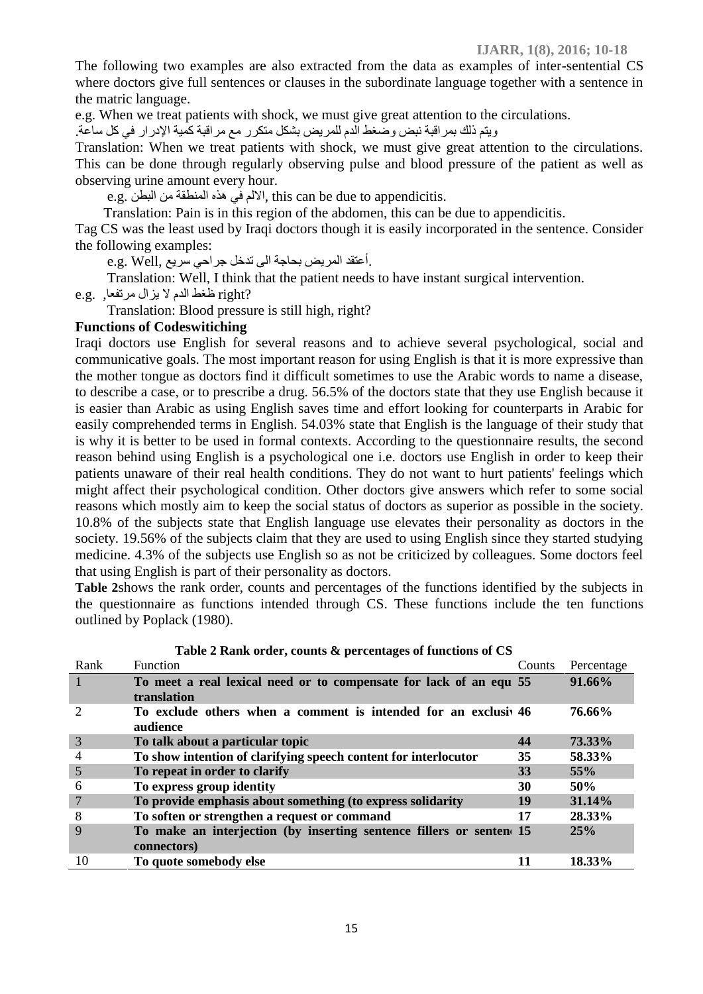The following two examples are also extracted from the data as examples of inter-sentential CS where doctors give full sentences or clauses in the subordinate language together with a sentence in the matric language.

e.g. When we treat patients with shock, we must give great attention to the circulations.

ویتم ذلك بمراقبة نبض وضغط الدم للمریض بشكل متكرر مع مراقبة كمیة الإدرار في كل ساعة.

Translation: When we treat patients with shock, we must give great attention to the circulations. This can be done through regularly observing pulse and blood pressure of the patient as well as observing urine amount every hour.

e.g. البطن من المنطقة ھذه في الالم, this can be due to appendicitis.

Translation: Pain is in this region of the abdomen, this can be due to appendicitis.

Tag CS was the least used by Iraqi doctors though it is easily incorporated in the sentence. Consider the following examples:

e.g. Well, أعتقد المريض بحاجة الى تدخل جراحي سريع.

Translation: Well, I think that the patient needs to have instant surgical intervention.

?right ظغط الدم لا یزال مرتفعا, .g.e

Translation: Blood pressure is still high, right?

#### **Functions of Codeswitiching**

Iraqi doctors use English for several reasons and to achieve several psychological, social and communicative goals. The most important reason for using English is that it is more expressive than the mother tongue as doctors find it difficult sometimes to use the Arabic words to name a disease, to describe a case, or to prescribe a drug. 56.5% of the doctors state that they use English because it is easier than Arabic as using English saves time and effort looking for counterparts in Arabic for easily comprehended terms in English. 54.03% state that English is the language of their study that is why it is better to be used in formal contexts. According to the questionnaire results, the second reason behind using English is a psychological one i.e. doctors use English in order to keep their patients unaware of their real health conditions. They do not want to hurt patients' feelings which might affect their psychological condition. Other doctors give answers which refer to some social reasons which mostly aim to keep the social status of doctors as superior as possible in the society. 10.8% of the subjects state that English language use elevates their personality as doctors in the society. 19.56% of the subjects claim that they are used to using English since they started studying medicine. 4.3% of the subjects use English so as not be criticized by colleagues. Some doctors feel that using English is part of their personality as doctors.

**Table 2**shows the rank order, counts and percentages of the functions identified by the subjects in the questionnaire as functions intended through CS. These functions include the ten functions outlined by Poplack (1980).

| Rank | <b>Function</b>                                                                    | Counts    | Percentage |
|------|------------------------------------------------------------------------------------|-----------|------------|
|      | To meet a real lexical need or to compensate for lack of an equ 55<br>translation  |           | 91.66%     |
|      | To exclude others when a comment is intended for an exclusive 46<br>audience       |           | 76.66%     |
| 3    | To talk about a particular topic                                                   | 44        | 73.33%     |
|      | To show intention of clarifying speech content for interlocutor                    | 35        | 58.33%     |
| 5    | To repeat in order to clarify                                                      | <b>33</b> | 55%        |
| 6    | To express group identity                                                          | 30        | 50%        |
|      | To provide emphasis about something (to express solidarity                         | 19        | 31.14%     |
| 8    | To soften or strengthen a request or command                                       | 17        | 28.33%     |
| 9    | To make an interjection (by inserting sentence fillers or senten 15<br>connectors) |           | 25%        |
| 10   | To quote somebody else                                                             | 11        | 18.33%     |

**Table 2 Rank order, counts & percentages of functions of CS**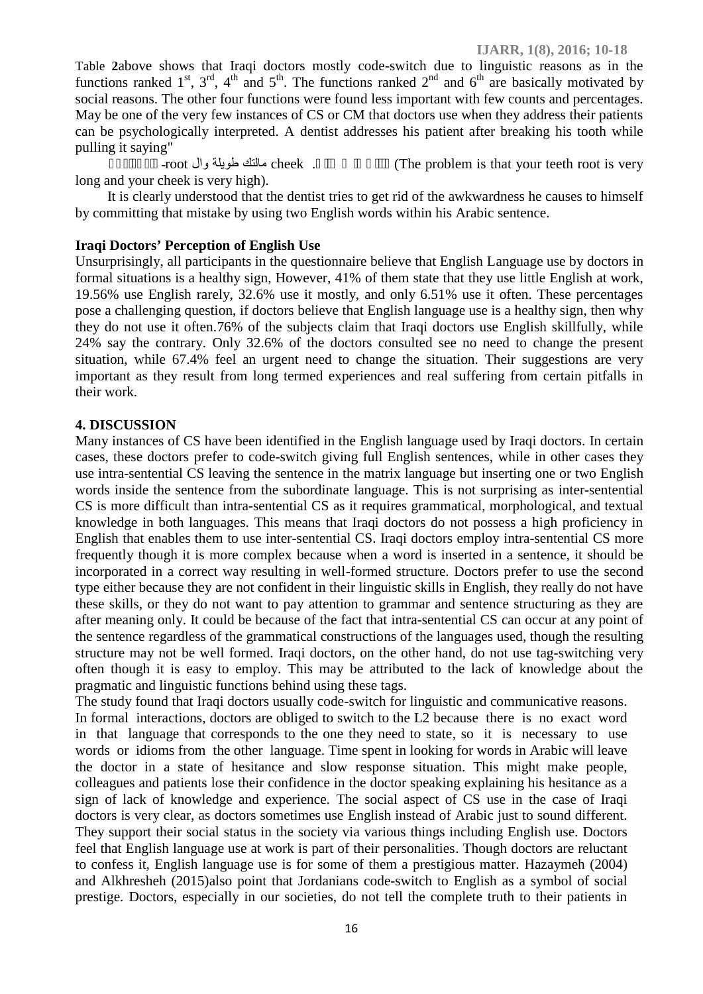Table **2**above shows that Iraqi doctors mostly code-switch due to linguistic reasons as in the functions ranked  $1^{st}$ ,  $3^{rd}$ ,  $4^{th}$  and  $5^{th}$ . The functions ranked  $2^{nd}$  and  $6^{th}$  are basically motivated by social reasons. The other four functions were found less important with few counts and percentages. May be one of the very few instances of CS or CM that doctors use when they address their patients can be psychologically interpreted. A dentist addresses his patient after breaking his tooth while

pulling it saying"

(The problem is that your teeth root is very

long and your cheek is very high).

It is clearly understood that the dentist tries to get rid of the awkwardness he causes to himself by committing that mistake by using two English words within his Arabic sentence.

#### **Iraqi Doctors' Perception of English Use**

Unsurprisingly, all participants in the questionnaire believe that English Language use by doctors in formal situations is a healthy sign, However, 41% of them state that they use little English at work, 19.56% use English rarely, 32.6% use it mostly, and only 6.51% use it often. These percentages pose a challenging question, if doctors believe that English language use is a healthy sign, then why they do not use it often.76% of the subjects claim that Iraqi doctors use English skillfully, while 24% say the contrary. Only 32.6% of the doctors consulted see no need to change the present situation, while 67.4% feel an urgent need to change the situation. Their suggestions are very important as they result from long termed experiences and real suffering from certain pitfalls in their work.

# **4. DISCUSSION**

Many instances of CS have been identified in the English language used by Iraqi doctors. In certain cases, these doctors prefer to code-switch giving full English sentences, while in other cases they use intra-sentential CS leaving the sentence in the matrix language but inserting one or two English words inside the sentence from the subordinate language. This is not surprising as inter-sentential CS is more difficult than intra-sentential CS as it requires grammatical, morphological, and textual knowledge in both languages. This means that Iraqi doctors do not possess a high proficiency in English that enables them to use inter-sentential CS. Iraqi doctors employ intra-sentential CS more frequently though it is more complex because when a word is inserted in a sentence, it should be incorporated in a correct way resulting in well-formed structure. Doctors prefer to use the second type either because they are not confident in their linguistic skills in English, they really do not have these skills, or they do not want to pay attention to grammar and sentence structuring as they are after meaning only. It could be because of the fact that intra-sentential CS can occur at any point of the sentence regardless of the grammatical constructions of the languages used, though the resulting structure may not be well formed. Iraqi doctors, on the other hand, do not use tag-switching very often though it is easy to employ. This may be attributed to the lack of knowledge about the pragmatic and linguistic functions behind using these tags.

The study found that Iraqi doctors usually code-switch for linguistic and communicative reasons. In formal interactions, doctors are obliged to switch to the L2 because there is no exact word in that language that corresponds to the one they need to state, so it is necessary to use words or idioms from the other language. Time spent in looking for words in Arabic will leave the doctor in a state of hesitance and slow response situation. This might make people, colleagues and patients lose their confidence in the doctor speaking explaining his hesitance as a sign of lack of knowledge and experience. The social aspect of CS use in the case of Iraqi doctors is very clear, as doctors sometimes use English instead of Arabic just to sound different. They support their social status in the society via various things including English use. Doctors feel that English language use at work is part of their personalities. Though doctors are reluctant to confess it, English language use is for some of them a prestigious matter. Hazaymeh (2004) and Alkhresheh (2015)also point that Jordanians code-switch to English as a symbol of social prestige. Doctors, especially in our societies, do not tell the complete truth to their patients in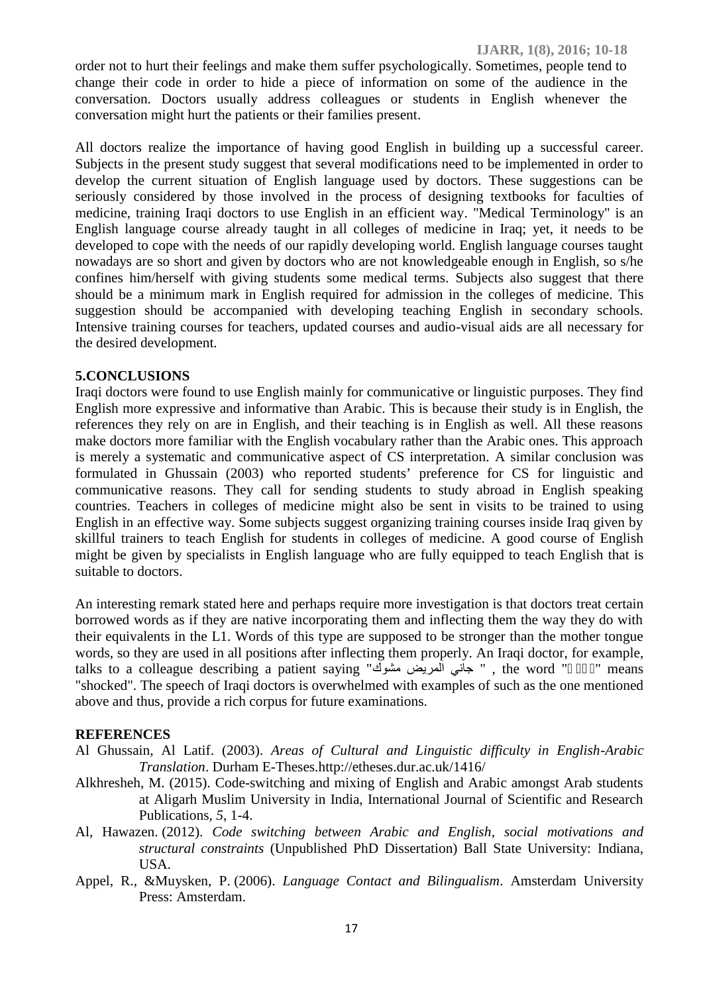order not to hurt their feelings and make them suffer psychologically. Sometimes, people tend to change their code in order to hide a piece of information on some of the audience in the conversation. Doctors usually address colleagues or students in English whenever the conversation might hurt the patients or their families present.

All doctors realize the importance of having good English in building up a successful career. Subjects in the present study suggest that several modifications need to be implemented in order to develop the current situation of English language used by doctors. These suggestions can be seriously considered by those involved in the process of designing textbooks for faculties of medicine, training Iraqi doctors to use English in an efficient way. "Medical Terminology" is an English language course already taught in all colleges of medicine in Iraq; yet, it needs to be developed to cope with the needs of our rapidly developing world. English language courses taught nowadays are so short and given by doctors who are not knowledgeable enough in English, so s/he confines him/herself with giving students some medical terms. Subjects also suggest that there should be a minimum mark in English required for admission in the colleges of medicine. This suggestion should be accompanied with developing teaching English in secondary schools. Intensive training courses for teachers, updated courses and audio-visual aids are all necessary for the desired development.

#### **5.CONCLUSIONS**

Iraqi doctors were found to use English mainly for communicative or linguistic purposes. They find English more expressive and informative than Arabic. This is because their study is in English, the references they rely on are in English, and their teaching is in English as well. All these reasons make doctors more familiar with the English vocabulary rather than the Arabic ones. This approach is merely a systematic and communicative aspect of CS interpretation. A similar conclusion was formulated in Ghussain (2003) who reported students' preference for CS for linguistic and communicative reasons. They call for sending students to study abroad in English speaking countries. Teachers in colleges of medicine might also be sent in visits to be trained to using English in an effective way. Some subjects suggest organizing training courses inside Iraq given by skillful trainers to teach English for students in colleges of medicine. A good course of English might be given by specialists in English language who are fully equipped to teach English that is suitable to doctors.

An interesting remark stated here and perhaps require more investigation is that doctors treat certain borrowed words as if they are native incorporating them and inflecting them the way they do with their equivalents in the L1. Words of this type are supposed to be stronger than the mother tongue words, so they are used in all positions after inflecting them properly. An Iraqi doctor, for example, talks to a colleague describing a patient saying " جاني المريض مشوك " , the word " " means "shocked". The speech of Iraqi doctors is overwhelmed with examples of such as the one mentioned above and thus, provide a rich corpus for future examinations.

## **REFERENCES**

- Al Ghussain, Al Latif. (2003). *Areas of Cultural and Linguistic difficulty in English-Arabic Translation*. Durham E-Theses.http://etheses.dur.ac.uk/1416/
- Alkhresheh, M. (2015). Code-switching and mixing of English and Arabic amongst Arab students at Aligarh Muslim University in India, International Journal of Scientific and Research Publications, *5*, 1-4.
- Al, Hawazen. (2012). *Code switching between Arabic and English, social motivations and structural constraints* (Unpublished PhD Dissertation) Ball State University: Indiana, USA.
- Appel, R., &Muysken, P. (2006). *Language Contact and Bilingualism*. Amsterdam University Press: Amsterdam.